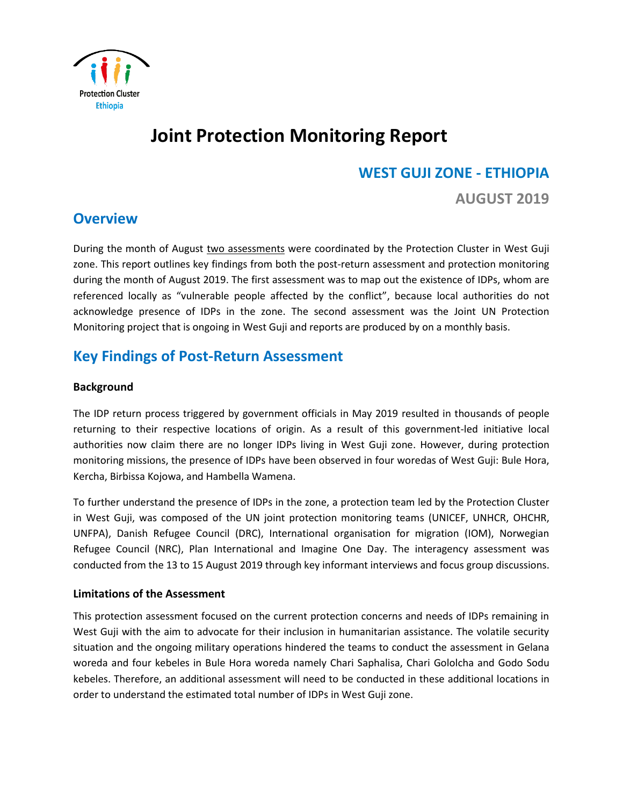

# **Joint Protection Monitoring Report**

# **WEST GUJI ZONE - ETHIOPIA**

**AUGUST 2019** 

# **Overview**

During the month of August two assessments were coordinated by the Protection Cluster in West Guji zone. This report outlines key findings from both the post-return assessment and protection monitoring during the month of August 2019. The first assessment was to map out the existence of IDPs, whom are referenced locally as "vulnerable people affected by the conflict", because local authorities do not acknowledge presence of IDPs in the zone. The second assessment was the Joint UN Protection Monitoring project that is ongoing in West Guji and reports are produced by on a monthly basis.

# **Key Findings of Post-Return Assessment**

# **Background**

The IDP return process triggered by government officials in May 2019 resulted in thousands of people returning to their respective locations of origin. As a result of this government-led initiative local authorities now claim there are no longer IDPs living in West Guji zone. However, during protection monitoring missions, the presence of IDPs have been observed in four woredas of West Guji: Bule Hora, Kercha, Birbissa Kojowa, and Hambella Wamena.

To further understand the presence of IDPs in the zone, a protection team led by the Protection Cluster in West Guji, was composed of the UN joint protection monitoring teams (UNICEF, UNHCR, OHCHR, UNFPA), Danish Refugee Council (DRC), International organisation for migration (IOM), Norwegian Refugee Council (NRC), Plan International and Imagine One Day. The interagency assessment was conducted from the 13 to 15 August 2019 through key informant interviews and focus group discussions.

# **Limitations of the Assessment**

This protection assessment focused on the current protection concerns and needs of IDPs remaining in West Guji with the aim to advocate for their inclusion in humanitarian assistance. The volatile security situation and the ongoing military operations hindered the teams to conduct the assessment in Gelana woreda and four kebeles in Bule Hora woreda namely Chari Saphalisa, Chari Gololcha and Godo Sodu kebeles. Therefore, an additional assessment will need to be conducted in these additional locations in order to understand the estimated total number of IDPs in West Guji zone.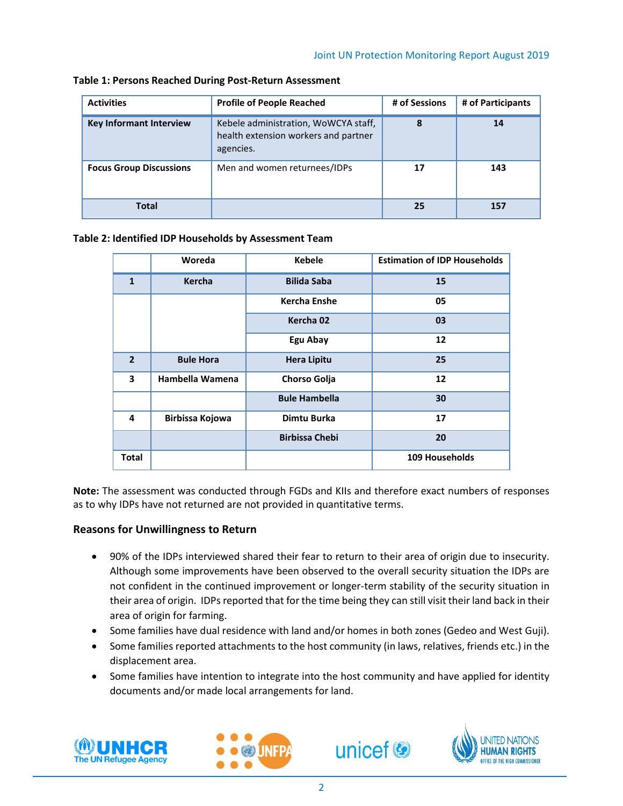| <b>Activities</b>              | <b>Profile of People Reached</b>                                                          | # of Sessions | # of Participants |
|--------------------------------|-------------------------------------------------------------------------------------------|---------------|-------------------|
| <b>Key Informant Interview</b> | Kebele administration, WoWCYA staff,<br>health extension workers and partner<br>agencies. | 8             | 14                |
| <b>Focus Group Discussions</b> | Men and women returnees/IDPs                                                              | 17            | 143               |
| <b>Total</b>                   |                                                                                           | 25            | 157               |

**Table 1: Persons Reached During Post-Return Assessment**

#### **Table 2: Identified IDP Households by Assessment Team**

|                         | Woreda           | <b>Kebele</b>         | <b>Estimation of IDP Households</b> |
|-------------------------|------------------|-----------------------|-------------------------------------|
| $\mathbf{1}$            | <b>Kercha</b>    | <b>Bilida Saba</b>    | 15                                  |
|                         |                  | <b>Kercha Enshe</b>   | 05                                  |
|                         |                  | Kercha 02             | 03                                  |
|                         |                  | Egu Abay              | 12                                  |
| $\overline{2}$          | <b>Bule Hora</b> | <b>Hera Lipitu</b>    | 25                                  |
| $\overline{\mathbf{3}}$ | Hambella Wamena  | Chorso Golja          | 12                                  |
|                         |                  | <b>Bule Hambella</b>  | 30                                  |
| 4                       | Birbissa Kojowa  | Dimtu Burka           | 17                                  |
|                         |                  | <b>Birbissa Chebi</b> | 20                                  |
| Total                   |                  |                       | <b>109 Households</b>               |

**Note:** The assessment was conducted through FGDs and KIIs and therefore exact numbers of responses as to why IDPs have not returned are not provided in quantitative terms.

# **Reasons for Unwillingness to Return**

- 90% of the IDPs interviewed shared their fear to return to their area of origin due to insecurity. Although some improvements have been observed to the overall security situation the IDPs are not confident in the continued improvement or longer-term stability of the security situation in their area of origin. IDPs reported that for the time being they can still visit their land back in their area of origin for farming.
- Some families have dual residence with land and/or homes in both zones (Gedeo and West Guji).
- Some families reported attachments to the host community (in laws, relatives, friends etc.) in the displacement area.
- Some families have intention to integrate into the host community and have applied for identity documents and/or made local arrangements for land.







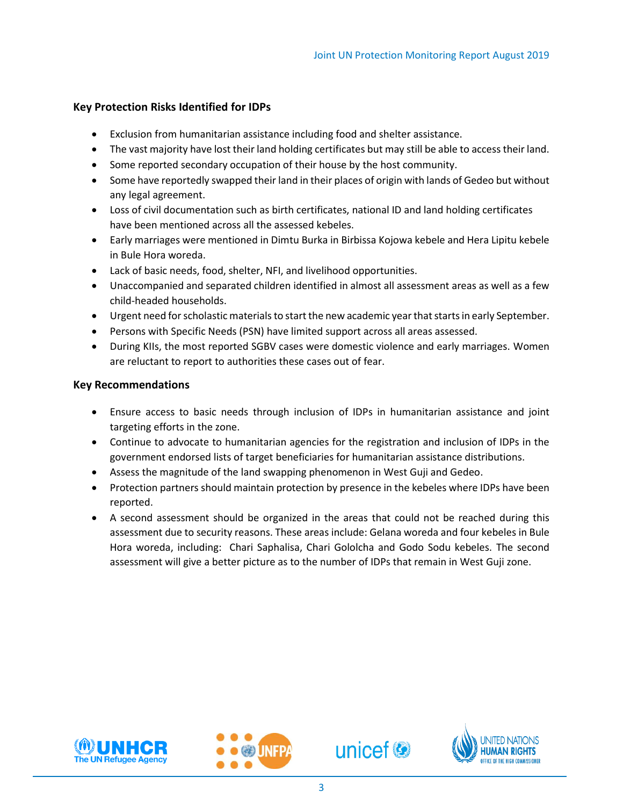# **Key Protection Risks Identified for IDPs**

- Exclusion from humanitarian assistance including food and shelter assistance.
- The vast majority have lost their land holding certificates but may still be able to access their land.
- Some reported secondary occupation of their house by the host community.
- Some have reportedly swapped their land in their places of origin with lands of Gedeo but without any legal agreement.
- Loss of civil documentation such as birth certificates, national ID and land holding certificates have been mentioned across all the assessed kebeles.
- Early marriages were mentioned in Dimtu Burka in Birbissa Kojowa kebele and Hera Lipitu kebele in Bule Hora woreda.
- Lack of basic needs, food, shelter, NFI, and livelihood opportunities.
- Unaccompanied and separated children identified in almost all assessment areas as well as a few child-headed households.
- Urgent need for scholastic materials to start the new academic year that starts in early September.
- Persons with Specific Needs (PSN) have limited support across all areas assessed.
- During KIIs, the most reported SGBV cases were domestic violence and early marriages. Women are reluctant to report to authorities these cases out of fear.

#### **Key Recommendations**

- Ensure access to basic needs through inclusion of IDPs in humanitarian assistance and joint targeting efforts in the zone.
- Continue to advocate to humanitarian agencies for the registration and inclusion of IDPs in the government endorsed lists of target beneficiaries for humanitarian assistance distributions.
- Assess the magnitude of the land swapping phenomenon in West Guji and Gedeo.
- Protection partners should maintain protection by presence in the kebeles where IDPs have been reported.
- A second assessment should be organized in the areas that could not be reached during this assessment due to security reasons. These areas include: Gelana woreda and four kebeles in Bule Hora woreda, including: Chari Saphalisa, Chari Gololcha and Godo Sodu kebeles. The second assessment will give a better picture as to the number of IDPs that remain in West Guji zone.







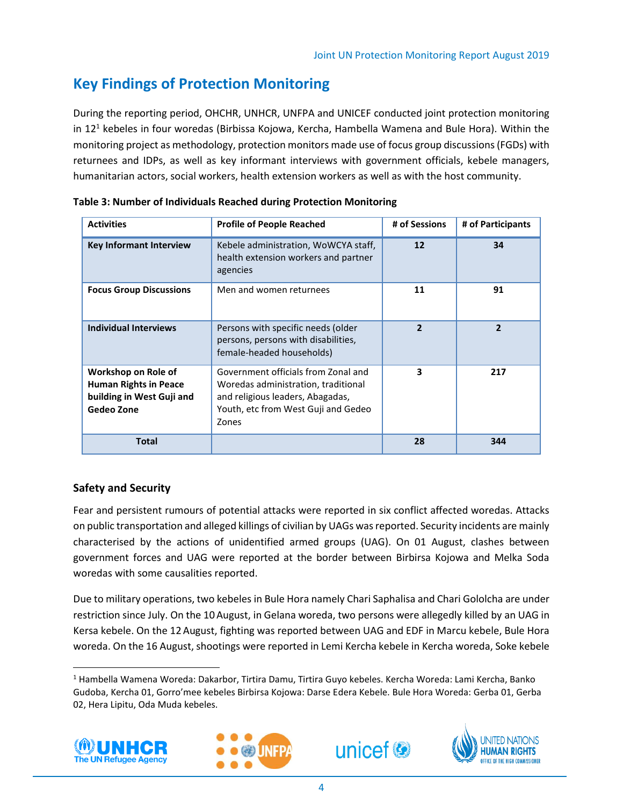# **Key Findings of Protection Monitoring**

During the reporting period, OHCHR, UNHCR, UNFPA and UNICEF conducted joint protection monitoring in 12<sup>1</sup> kebeles in four woredas (Birbissa Kojowa, Kercha, Hambella Wamena and Bule Hora). Within the monitoring project as methodology, protection monitors made use of focus group discussions (FGDs) with returnees and IDPs, as well as key informant interviews with government officials, kebele managers, humanitarian actors, social workers, health extension workers as well as with the host community.

| <b>Activities</b>                                                                              | <b>Profile of People Reached</b>                                                                                                                               | # of Sessions            | # of Participants |
|------------------------------------------------------------------------------------------------|----------------------------------------------------------------------------------------------------------------------------------------------------------------|--------------------------|-------------------|
| <b>Key Informant Interview</b>                                                                 | Kebele administration, WoWCYA staff,<br>health extension workers and partner<br>agencies                                                                       | 12                       | 34                |
| <b>Focus Group Discussions</b>                                                                 | Men and women returnees                                                                                                                                        | 11                       | 91                |
| <b>Individual Interviews</b>                                                                   | Persons with specific needs (older<br>persons, persons with disabilities,<br>female-headed households)                                                         | $\overline{\phantom{a}}$ | $\mathbf{2}$      |
| Workshop on Role of<br><b>Human Rights in Peace</b><br>building in West Guji and<br>Gedeo Zone | Government officials from Zonal and<br>Woredas administration, traditional<br>and religious leaders, Abagadas,<br>Youth, etc from West Guji and Gedeo<br>Zones | 3                        | 217               |
| <b>Total</b>                                                                                   |                                                                                                                                                                | 28                       | 344               |

**Table 3: Number of Individuals Reached during Protection Monitoring**

# **Safety and Security**

Fear and persistent rumours of potential attacks were reported in six conflict affected woredas. Attacks on public transportation and alleged killings of civilian by UAGs was reported. Security incidents are mainly characterised by the actions of unidentified armed groups (UAG). On 01 August, clashes between government forces and UAG were reported at the border between Birbirsa Kojowa and Melka Soda woredas with some causalities reported.

Due to military operations, two kebeles in Bule Hora namely Chari Saphalisa and Chari Gololcha are under restriction since July. On the 10August, in Gelana woreda, two persons were allegedly killed by an UAG in Kersa kebele. On the 12 August, fighting was reported between UAG and EDF in Marcu kebele, Bule Hora woreda. On the 16 August, shootings were reported in Lemi Kercha kebele in Kercha woreda, Soke kebele

<sup>1</sup> Hambella Wamena Woreda: Dakarbor, Tirtira Damu, Tirtira Guyo kebeles. Kercha Woreda: Lami Kercha, Banko Gudoba, Kercha 01, Gorro'mee kebeles Birbirsa Kojowa: Darse Edera Kebele. Bule Hora Woreda: Gerba 01, Gerba 02, Hera Lipitu, Oda Muda kebeles.



l,

 $\overline{a}$ 





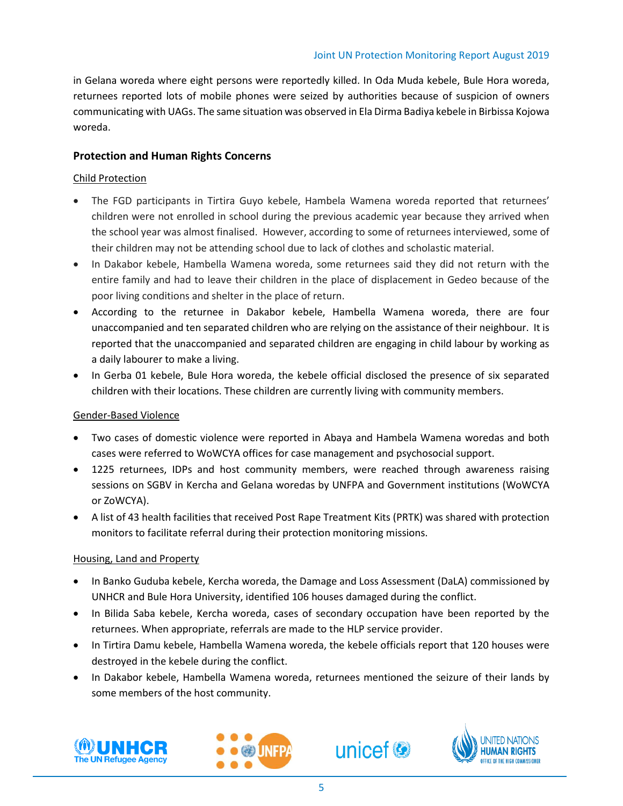in Gelana woreda where eight persons were reportedly killed. In Oda Muda kebele, Bule Hora woreda, returnees reported lots of mobile phones were seized by authorities because of suspicion of owners communicating with UAGs. The same situation was observed in Ela Dirma Badiya kebele in Birbissa Kojowa woreda.

### **Protection and Human Rights Concerns**

#### Child Protection

- The FGD participants in Tirtira Guyo kebele, Hambela Wamena woreda reported that returnees' children were not enrolled in school during the previous academic year because they arrived when the school year was almost finalised. However, according to some of returnees interviewed, some of their children may not be attending school due to lack of clothes and scholastic material.
- In Dakabor kebele, Hambella Wamena woreda, some returnees said they did not return with the entire family and had to leave their children in the place of displacement in Gedeo because of the poor living conditions and shelter in the place of return.
- According to the returnee in Dakabor kebele, Hambella Wamena woreda, there are four unaccompanied and ten separated children who are relying on the assistance of their neighbour. It is reported that the unaccompanied and separated children are engaging in child labour by working as a daily labourer to make a living.
- In Gerba 01 kebele, Bule Hora woreda, the kebele official disclosed the presence of six separated children with their locations. These children are currently living with community members.

#### Gender-Based Violence

- Two cases of domestic violence were reported in Abaya and Hambela Wamena woredas and both cases were referred to WoWCYA offices for case management and psychosocial support.
- 1225 returnees, IDPs and host community members, were reached through awareness raising sessions on SGBV in Kercha and Gelana woredas by UNFPA and Government institutions (WoWCYA or ZoWCYA).
- A list of 43 health facilities that received Post Rape Treatment Kits (PRTK) was shared with protection monitors to facilitate referral during their protection monitoring missions.

#### Housing, Land and Property

- In Banko Guduba kebele, Kercha woreda, the Damage and Loss Assessment (DaLA) commissioned by UNHCR and Bule Hora University, identified 106 houses damaged during the conflict.
- In Bilida Saba kebele, Kercha woreda, cases of secondary occupation have been reported by the returnees. When appropriate, referrals are made to the HLP service provider.
- In Tirtira Damu kebele, Hambella Wamena woreda, the kebele officials report that 120 houses were destroyed in the kebele during the conflict.
- In Dakabor kebele, Hambella Wamena woreda, returnees mentioned the seizure of their lands by some members of the host community.







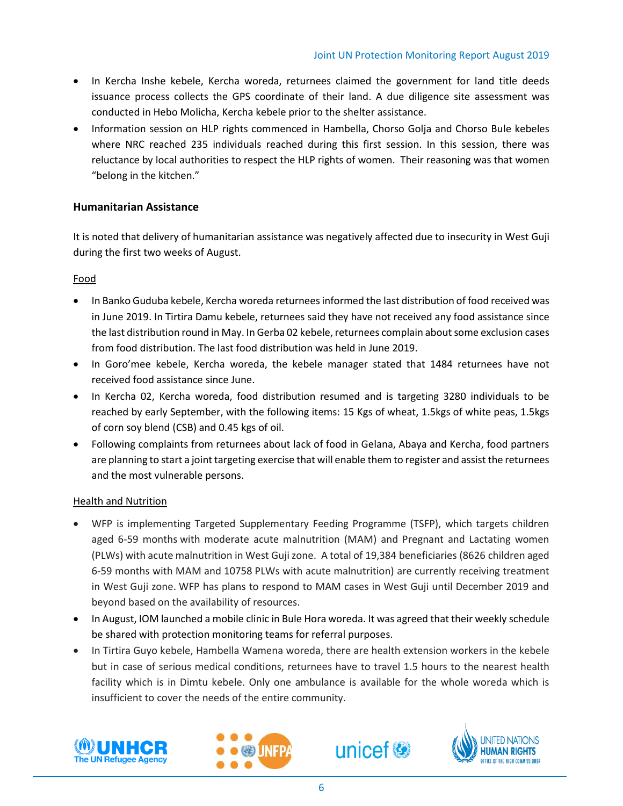- In Kercha Inshe kebele, Kercha woreda, returnees claimed the government for land title deeds issuance process collects the GPS coordinate of their land. A due diligence site assessment was conducted in Hebo Molicha, Kercha kebele prior to the shelter assistance.
- Information session on HLP rights commenced in Hambella, Chorso Golja and Chorso Bule kebeles where NRC reached 235 individuals reached during this first session. In this session, there was reluctance by local authorities to respect the HLP rights of women. Their reasoning was that women "belong in the kitchen."

# **Humanitarian Assistance**

It is noted that delivery of humanitarian assistance was negatively affected due to insecurity in West Guji during the first two weeks of August.

# Food

- In Banko Guduba kebele, Kercha woreda returneesinformed the last distribution of food received was in June 2019. In Tirtira Damu kebele, returnees said they have not received any food assistance since the last distribution round in May. In Gerba 02 kebele, returnees complain about some exclusion cases from food distribution. The last food distribution was held in June 2019.
- In Goro'mee kebele, Kercha woreda, the kebele manager stated that 1484 returnees have not received food assistance since June.
- In Kercha 02, Kercha woreda, food distribution resumed and is targeting 3280 individuals to be reached by early September, with the following items: 15 Kgs of wheat, 1.5kgs of white peas, 1.5kgs of corn soy blend (CSB) and 0.45 kgs of oil.
- Following complaints from returnees about lack of food in Gelana, Abaya and Kercha, food partners are planning to start a joint targeting exercise that will enable them to register and assist the returnees and the most vulnerable persons.

# Health and Nutrition

- WFP is implementing Targeted Supplementary Feeding Programme (TSFP), which targets children aged 6-59 months with moderate acute malnutrition (MAM) and Pregnant and Lactating women (PLWs) with acute malnutrition in West Guji zone. A total of 19,384 beneficiaries (8626 children aged 6-59 months with MAM and 10758 PLWs with acute malnutrition) are currently receiving treatment in West Guji zone. WFP has plans to respond to MAM cases in West Guji until December 2019 and beyond based on the availability of resources.
- In August, IOM launched a mobile clinic in Bule Hora woreda. It was agreed that their weekly schedule be shared with protection monitoring teams for referral purposes.
- In Tirtira Guyo kebele, Hambella Wamena woreda, there are health extension workers in the kebele but in case of serious medical conditions, returnees have to travel 1.5 hours to the nearest health facility which is in Dimtu kebele. Only one ambulance is available for the whole woreda which is insufficient to cover the needs of the entire community.







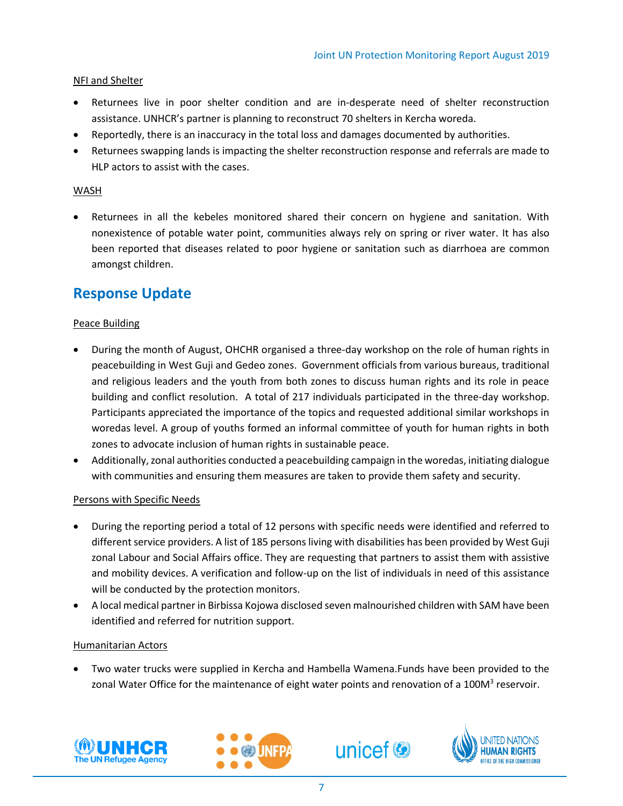### NFI and Shelter

- Returnees live in poor shelter condition and are in-desperate need of shelter reconstruction assistance. UNHCR's partner is planning to reconstruct 70 shelters in Kercha woreda.
- Reportedly, there is an inaccuracy in the total loss and damages documented by authorities.
- Returnees swapping lands is impacting the shelter reconstruction response and referrals are made to HLP actors to assist with the cases.

#### WASH

• Returnees in all the kebeles monitored shared their concern on hygiene and sanitation. With nonexistence of potable water point, communities always rely on spring or river water. It has also been reported that diseases related to poor hygiene or sanitation such as diarrhoea are common amongst children.

# **Response Update**

#### Peace Building

- During the month of August, OHCHR organised a three-day workshop on the role of human rights in peacebuilding in West Guji and Gedeo zones. Government officials from various bureaus, traditional and religious leaders and the youth from both zones to discuss human rights and its role in peace building and conflict resolution. A total of 217 individuals participated in the three-day workshop. Participants appreciated the importance of the topics and requested additional similar workshops in woredas level. A group of youths formed an informal committee of youth for human rights in both zones to advocate inclusion of human rights in sustainable peace.
- Additionally, zonal authorities conducted a peacebuilding campaign in the woredas, initiating dialogue with communities and ensuring them measures are taken to provide them safety and security.

#### Persons with Specific Needs

- During the reporting period a total of 12 persons with specific needs were identified and referred to different service providers. A list of 185 persons living with disabilities has been provided by West Guji zonal Labour and Social Affairs office. They are requesting that partners to assist them with assistive and mobility devices. A verification and follow-up on the list of individuals in need of this assistance will be conducted by the protection monitors.
- A local medical partner in Birbissa Kojowa disclosed seven malnourished children with SAM have been identified and referred for nutrition support.

#### Humanitarian Actors

• Two water trucks were supplied in Kercha and Hambella Wamena.Funds have been provided to the zonal Water Office for the maintenance of eight water points and renovation of a 100M<sup>3</sup> reservoir.